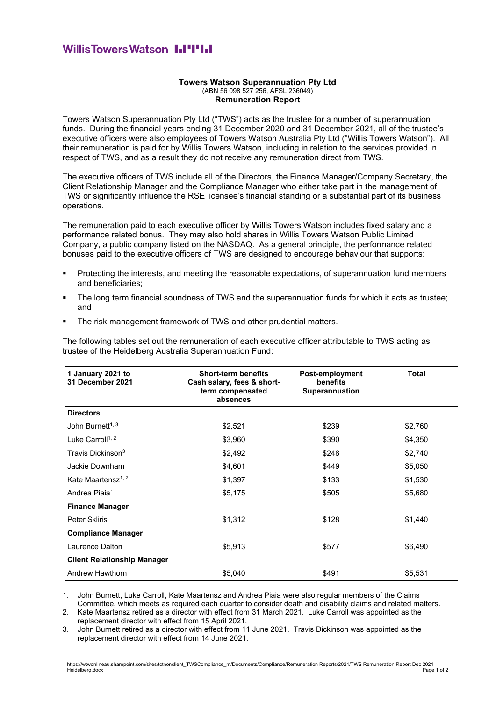## **WillisTowersWatson I.I'I'I.I**

## **Towers Watson Superannuation Pty Ltd** (ABN 56 098 527 256, AFSL 236049) **Remuneration Report**

Towers Watson Superannuation Pty Ltd ("TWS") acts as the trustee for a number of superannuation funds. During the financial years ending 31 December 2020 and 31 December 2021, all of the trustee's executive officers were also employees of Towers Watson Australia Pty Ltd ("Willis Towers Watson"). All their remuneration is paid for by Willis Towers Watson, including in relation to the services provided in respect of TWS, and as a result they do not receive any remuneration direct from TWS.

The executive officers of TWS include all of the Directors, the Finance Manager/Company Secretary, the Client Relationship Manager and the Compliance Manager who either take part in the management of TWS or significantly influence the RSE licensee's financial standing or a substantial part of its business operations.

The remuneration paid to each executive officer by Willis Towers Watson includes fixed salary and a performance related bonus. They may also hold shares in Willis Towers Watson Public Limited Company, a public company listed on the NASDAQ. As a general principle, the performance related bonuses paid to the executive officers of TWS are designed to encourage behaviour that supports:

- Protecting the interests, and meeting the reasonable expectations, of superannuation fund members and beneficiaries;
- The long term financial soundness of TWS and the superannuation funds for which it acts as trustee; and
- **•** The risk management framework of TWS and other prudential matters.

The following tables set out the remuneration of each executive officer attributable to TWS acting as trustee of the Heidelberg Australia Superannuation Fund:

| 1 January 2021 to<br>31 December 2021 | <b>Short-term benefits</b><br>Cash salary, fees & short-<br>term compensated<br>absences | Post-employment<br>benefits<br><b>Superannuation</b> | <b>Total</b> |
|---------------------------------------|------------------------------------------------------------------------------------------|------------------------------------------------------|--------------|
| <b>Directors</b>                      |                                                                                          |                                                      |              |
| John Burnett <sup>1, 3</sup>          | \$2,521                                                                                  | \$239                                                | \$2,760      |
| Luke Carroll <sup>1, 2</sup>          | \$3,960                                                                                  | \$390                                                | \$4,350      |
| Travis Dickinson <sup>3</sup>         | \$2,492                                                                                  | \$248                                                | \$2,740      |
| Jackie Downham                        | \$4,601                                                                                  | \$449                                                | \$5,050      |
| Kate Maartensz <sup>1, 2</sup>        | \$1,397                                                                                  | \$133                                                | \$1,530      |
| Andrea Piaia <sup>1</sup>             | \$5,175                                                                                  | \$505                                                | \$5,680      |
| <b>Finance Manager</b>                |                                                                                          |                                                      |              |
| <b>Peter Skliris</b>                  | \$1,312                                                                                  | \$128                                                | \$1,440      |
| <b>Compliance Manager</b>             |                                                                                          |                                                      |              |
| Laurence Dalton                       | \$5,913                                                                                  | \$577                                                | \$6,490      |
| <b>Client Relationship Manager</b>    |                                                                                          |                                                      |              |
| Andrew Hawthorn                       | \$5,040                                                                                  | \$491                                                | \$5,531      |

1. John Burnett, Luke Carroll, Kate Maartensz and Andrea Piaia were also regular members of the Claims Committee, which meets as required each quarter to consider death and disability claims and related matters.

2. Kate Maartensz retired as a director with effect from 31 March 2021. Luke Carroll was appointed as the replacement director with effect from 15 April 2021.

3. John Burnett retired as a director with effect from 11 June 2021. Travis Dickinson was appointed as the replacement director with effect from 14 June 2021.